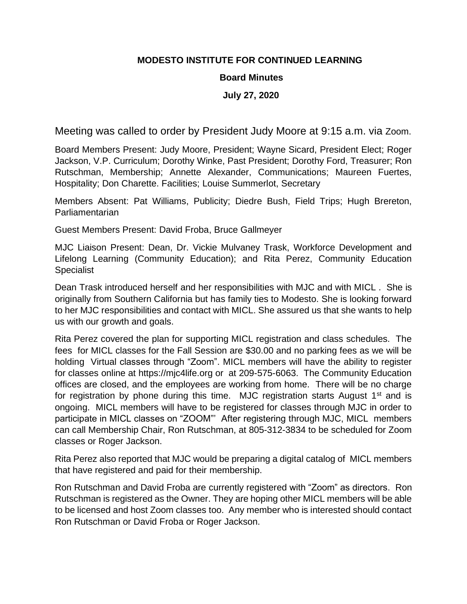## **MODESTO INSTITUTE FOR CONTINUED LEARNING**

## **Board Minutes**

## **July 27, 2020**

Meeting was called to order by President Judy Moore at 9:15 a.m. via Zoom.

Board Members Present: Judy Moore, President; Wayne Sicard, President Elect; Roger Jackson, V.P. Curriculum; Dorothy Winke, Past President; Dorothy Ford, Treasurer; Ron Rutschman, Membership; Annette Alexander, Communications; Maureen Fuertes, Hospitality; Don Charette. Facilities; Louise Summerlot, Secretary

Members Absent: Pat Williams, Publicity; Diedre Bush, Field Trips; Hugh Brereton, Parliamentarian

Guest Members Present: David Froba, Bruce Gallmeyer

MJC Liaison Present: Dean, Dr. Vickie Mulvaney Trask, Workforce Development and Lifelong Learning (Community Education); and Rita Perez, Community Education Specialist

Dean Trask introduced herself and her responsibilities with MJC and with MICL . She is originally from Southern California but has family ties to Modesto. She is looking forward to her MJC responsibilities and contact with MICL. She assured us that she wants to help us with our growth and goals.

Rita Perez covered the plan for supporting MICL registration and class schedules. The fees for MICL classes for the Fall Session are \$30.00 and no parking fees as we will be holding Virtual classes through "Zoom". MICL members will have the ability to register for classes online at https://mjc4life.org or at 209-575-6063. The Community Education offices are closed, and the employees are working from home. There will be no charge for registration by phone during this time. MJC registration starts August  $1<sup>st</sup>$  and is ongoing. MICL members will have to be registered for classes through MJC in order to participate in MICL classes on "ZOOM"' After registering through MJC, MICL members can call Membership Chair, Ron Rutschman, at 805-312-3834 to be scheduled for Zoom classes or Roger Jackson.

Rita Perez also reported that MJC would be preparing a digital catalog of MICL members that have registered and paid for their membership.

Ron Rutschman and David Froba are currently registered with "Zoom" as directors. Ron Rutschman is registered as the Owner. They are hoping other MICL members will be able to be licensed and host Zoom classes too. Any member who is interested should contact Ron Rutschman or David Froba or Roger Jackson.